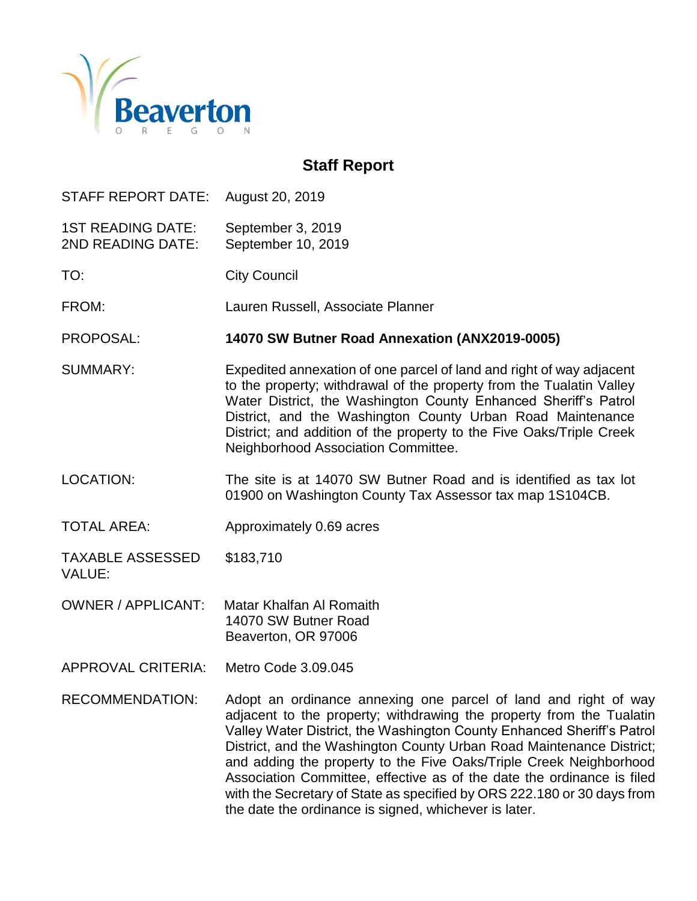

# **Staff Report**

STAFF REPORT DATE: August 20, 2019

1ST READING DATE: September 3, 2019 2ND READING DATE: September 10, 2019

TO: City Council

FROM: Lauren Russell, Associate Planner

PROPOSAL: **14070 SW Butner Road Annexation (ANX2019-0005)**

SUMMARY: Expedited annexation of one parcel of land and right of way adjacent to the property; withdrawal of the property from the Tualatin Valley Water District, the Washington County Enhanced Sheriff's Patrol District, and the Washington County Urban Road Maintenance District; and addition of the property to the Five Oaks/Triple Creek Neighborhood Association Committee.

- LOCATION: The site is at 14070 SW Butner Road and is identified as tax lot 01900 on Washington County Tax Assessor tax map 1S104CB.
- TOTAL AREA: Approximately 0.69 acres

TAXABLE ASSESSED \$183,710 VALUE:

- OWNER / APPLICANT: Matar Khalfan Al Romaith 14070 SW Butner Road Beaverton, OR 97006
- APPROVAL CRITERIA: Metro Code 3.09.045
- RECOMMENDATION: Adopt an ordinance annexing one parcel of land and right of way adjacent to the property; withdrawing the property from the Tualatin Valley Water District, the Washington County Enhanced Sheriff's Patrol District, and the Washington County Urban Road Maintenance District; and adding the property to the Five Oaks/Triple Creek Neighborhood Association Committee, effective as of the date the ordinance is filed with the Secretary of State as specified by ORS 222.180 or 30 days from the date the ordinance is signed, whichever is later.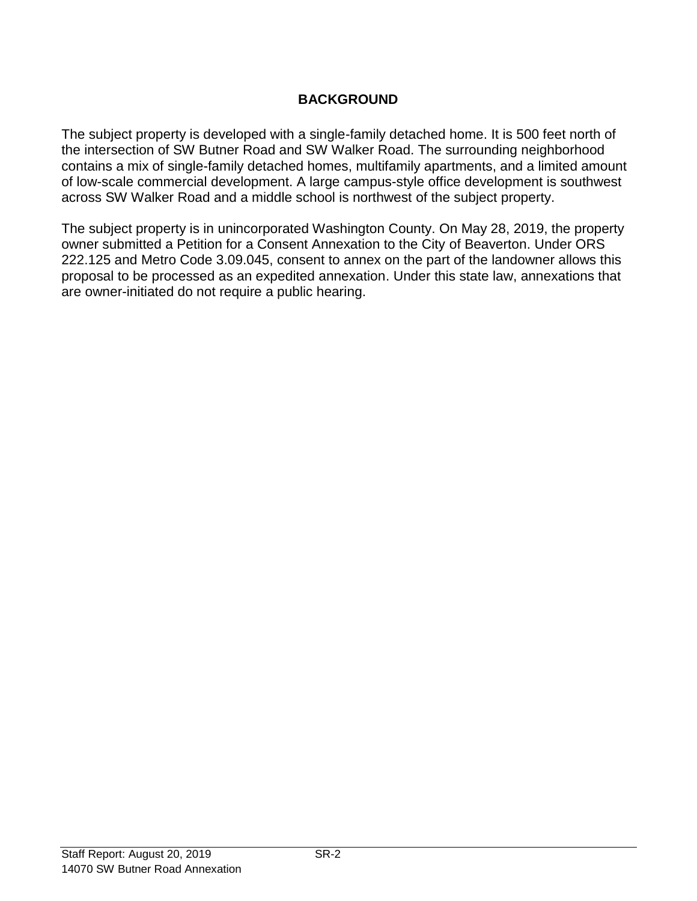# **BACKGROUND**

The subject property is developed with a single-family detached home. It is 500 feet north of the intersection of SW Butner Road and SW Walker Road. The surrounding neighborhood contains a mix of single-family detached homes, multifamily apartments, and a limited amount of low-scale commercial development. A large campus-style office development is southwest across SW Walker Road and a middle school is northwest of the subject property.

The subject property is in unincorporated Washington County. On May 28, 2019, the property owner submitted a Petition for a Consent Annexation to the City of Beaverton. Under ORS 222.125 and Metro Code 3.09.045, consent to annex on the part of the landowner allows this proposal to be processed as an expedited annexation. Under this state law, annexations that are owner-initiated do not require a public hearing.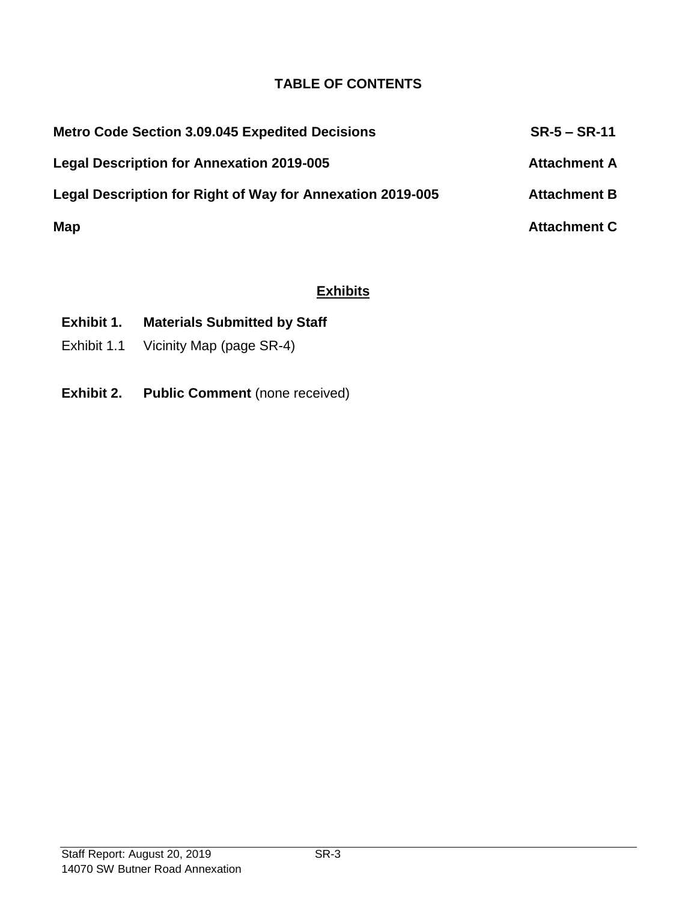## **TABLE OF CONTENTS**

| <b>Metro Code Section 3.09.045 Expedited Decisions</b>     | $SR-5 - SR-11$      |
|------------------------------------------------------------|---------------------|
| <b>Legal Description for Annexation 2019-005</b>           | <b>Attachment A</b> |
| Legal Description for Right of Way for Annexation 2019-005 | <b>Attachment B</b> |
| Map                                                        | <b>Attachment C</b> |

### **Exhibits**

# **Exhibit 1. Materials Submitted by Staff**

- Exhibit 1.1 Vicinity Map (page SR-4)
- **Exhibit 2. Public Comment** (none received)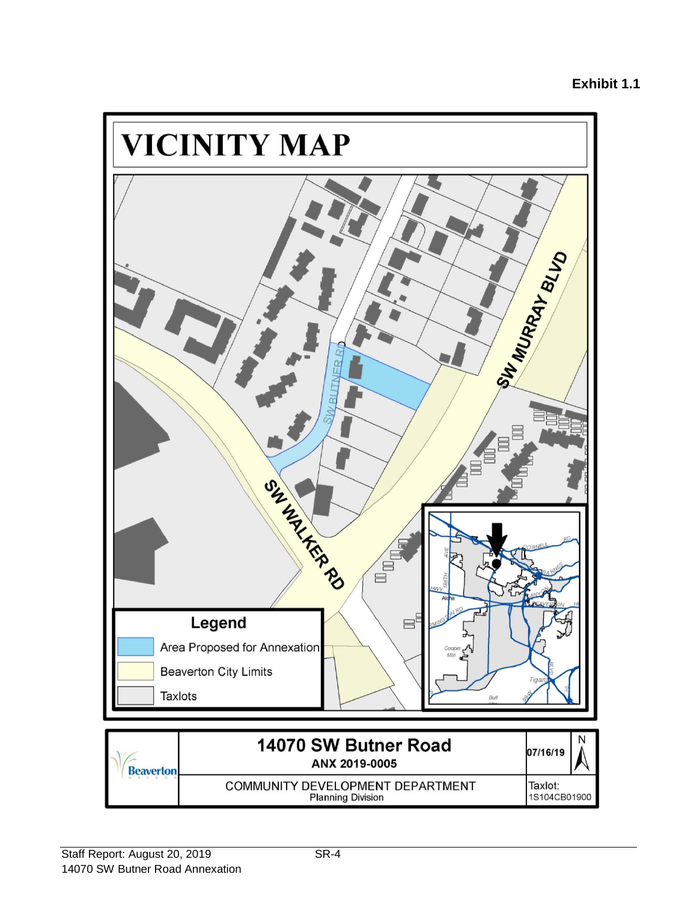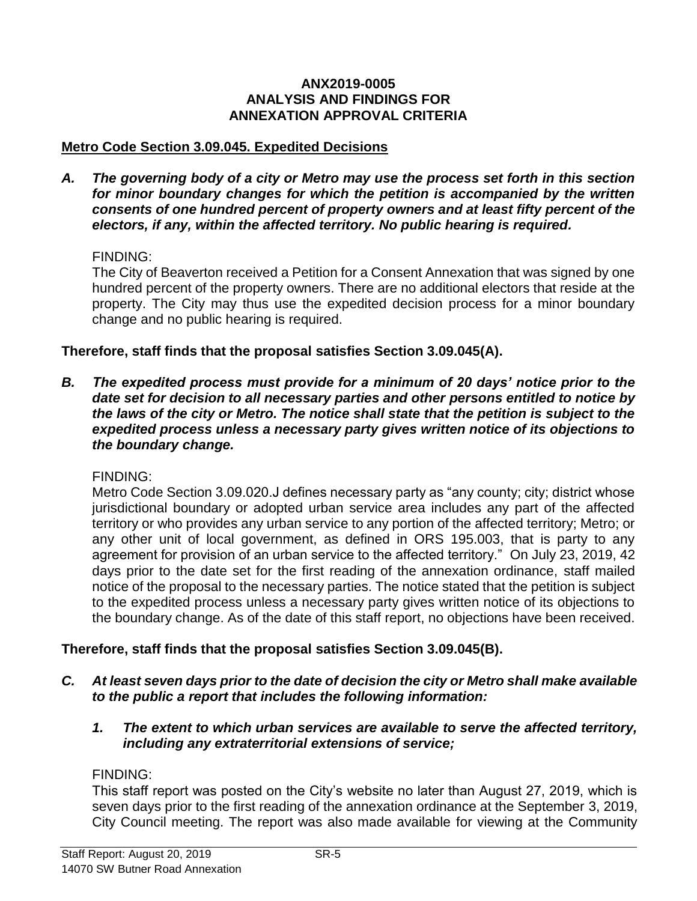#### **ANX2019-0005 ANALYSIS AND FINDINGS FOR ANNEXATION APPROVAL CRITERIA**

#### **Metro Code Section 3.09.045. Expedited Decisions**

*A. The governing body of a city or Metro may use the process set forth in this section for minor boundary changes for which the petition is accompanied by the written consents of one hundred percent of property owners and at least fifty percent of the electors, if any, within the affected territory. No public hearing is required.*

#### FINDING:

The City of Beaverton received a Petition for a Consent Annexation that was signed by one hundred percent of the property owners. There are no additional electors that reside at the property. The City may thus use the expedited decision process for a minor boundary change and no public hearing is required.

#### **Therefore, staff finds that the proposal satisfies Section 3.09.045(A).**

*B. The expedited process must provide for a minimum of 20 days' notice prior to the date set for decision to all necessary parties and other persons entitled to notice by the laws of the city or Metro. The notice shall state that the petition is subject to the expedited process unless a necessary party gives written notice of its objections to the boundary change.*

#### FINDING:

Metro Code Section 3.09.020.J defines necessary party as "any county; city; district whose jurisdictional boundary or adopted urban service area includes any part of the affected territory or who provides any urban service to any portion of the affected territory; Metro; or any other unit of local government, as defined in ORS 195.003, that is party to any agreement for provision of an urban service to the affected territory." On July 23, 2019, 42 days prior to the date set for the first reading of the annexation ordinance, staff mailed notice of the proposal to the necessary parties. The notice stated that the petition is subject to the expedited process unless a necessary party gives written notice of its objections to the boundary change. As of the date of this staff report, no objections have been received.

#### **Therefore, staff finds that the proposal satisfies Section 3.09.045(B).**

- *C. At least seven days prior to the date of decision the city or Metro shall make available to the public a report that includes the following information:*
	- *1. The extent to which urban services are available to serve the affected territory, including any extraterritorial extensions of service;*

#### FINDING:

This staff report was posted on the City's website no later than August 27, 2019, which is seven days prior to the first reading of the annexation ordinance at the September 3, 2019, City Council meeting. The report was also made available for viewing at the Community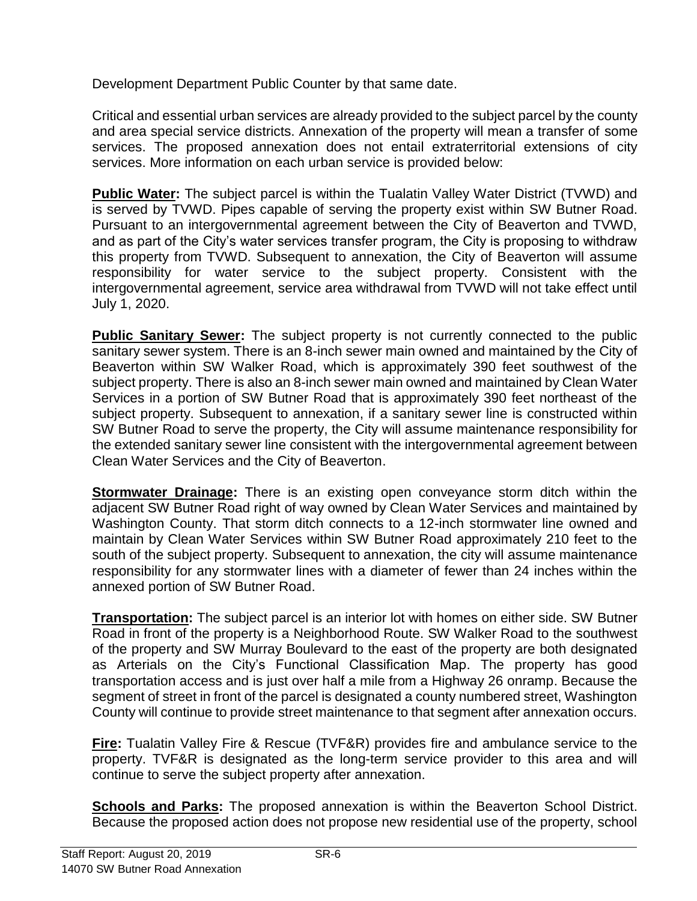Development Department Public Counter by that same date.

Critical and essential urban services are already provided to the subject parcel by the county and area special service districts. Annexation of the property will mean a transfer of some services. The proposed annexation does not entail extraterritorial extensions of city services. More information on each urban service is provided below:

**Public Water:** The subject parcel is within the Tualatin Valley Water District (TVWD) and is served by TVWD. Pipes capable of serving the property exist within SW Butner Road. Pursuant to an intergovernmental agreement between the City of Beaverton and TVWD, and as part of the City's water services transfer program, the City is proposing to withdraw this property from TVWD. Subsequent to annexation, the City of Beaverton will assume responsibility for water service to the subject property. Consistent with the intergovernmental agreement, service area withdrawal from TVWD will not take effect until July 1, 2020.

**Public Sanitary Sewer:** The subject property is not currently connected to the public sanitary sewer system. There is an 8-inch sewer main owned and maintained by the City of Beaverton within SW Walker Road, which is approximately 390 feet southwest of the subject property. There is also an 8-inch sewer main owned and maintained by Clean Water Services in a portion of SW Butner Road that is approximately 390 feet northeast of the subject property. Subsequent to annexation, if a sanitary sewer line is constructed within SW Butner Road to serve the property, the City will assume maintenance responsibility for the extended sanitary sewer line consistent with the intergovernmental agreement between Clean Water Services and the City of Beaverton.

**Stormwater Drainage:** There is an existing open conveyance storm ditch within the adjacent SW Butner Road right of way owned by Clean Water Services and maintained by Washington County. That storm ditch connects to a 12-inch stormwater line owned and maintain by Clean Water Services within SW Butner Road approximately 210 feet to the south of the subject property. Subsequent to annexation, the city will assume maintenance responsibility for any stormwater lines with a diameter of fewer than 24 inches within the annexed portion of SW Butner Road.

**Transportation:** The subject parcel is an interior lot with homes on either side. SW Butner Road in front of the property is a Neighborhood Route. SW Walker Road to the southwest of the property and SW Murray Boulevard to the east of the property are both designated as Arterials on the City's Functional Classification Map. The property has good transportation access and is just over half a mile from a Highway 26 onramp. Because the segment of street in front of the parcel is designated a county numbered street, Washington County will continue to provide street maintenance to that segment after annexation occurs.

**Fire:** Tualatin Valley Fire & Rescue (TVF&R) provides fire and ambulance service to the property. TVF&R is designated as the long-term service provider to this area and will continue to serve the subject property after annexation.

**Schools and Parks:** The proposed annexation is within the Beaverton School District. Because the proposed action does not propose new residential use of the property, school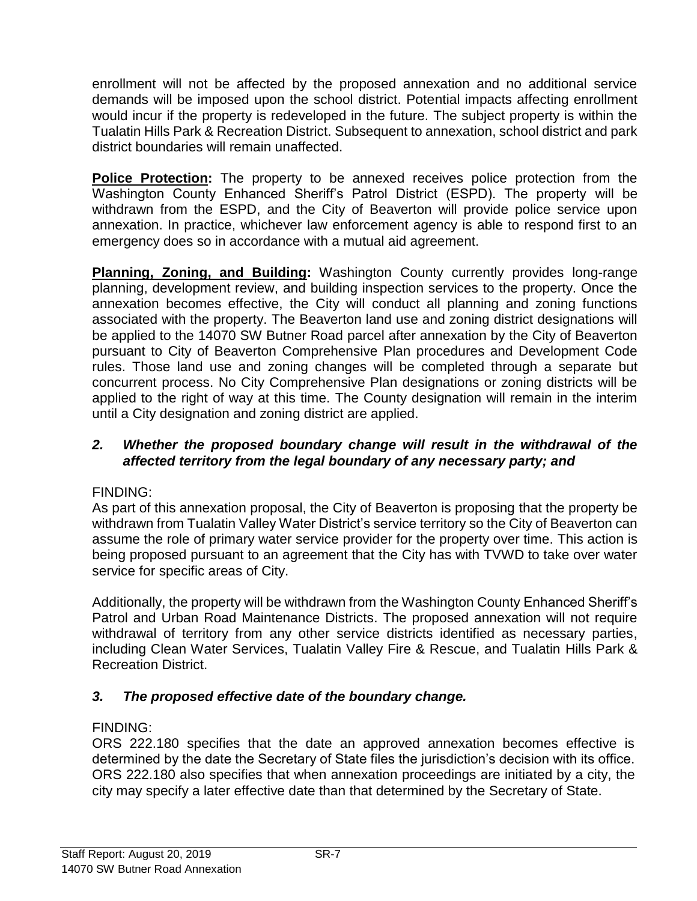enrollment will not be affected by the proposed annexation and no additional service demands will be imposed upon the school district. Potential impacts affecting enrollment would incur if the property is redeveloped in the future. The subject property is within the Tualatin Hills Park & Recreation District. Subsequent to annexation, school district and park district boundaries will remain unaffected.

**Police Protection:** The property to be annexed receives police protection from the Washington County Enhanced Sheriff's Patrol District (ESPD). The property will be withdrawn from the ESPD, and the City of Beaverton will provide police service upon annexation. In practice, whichever law enforcement agency is able to respond first to an emergency does so in accordance with a mutual aid agreement.

**Planning, Zoning, and Building:** Washington County currently provides long-range planning, development review, and building inspection services to the property. Once the annexation becomes effective, the City will conduct all planning and zoning functions associated with the property. The Beaverton land use and zoning district designations will be applied to the 14070 SW Butner Road parcel after annexation by the City of Beaverton pursuant to City of Beaverton Comprehensive Plan procedures and Development Code rules. Those land use and zoning changes will be completed through a separate but concurrent process. No City Comprehensive Plan designations or zoning districts will be applied to the right of way at this time. The County designation will remain in the interim until a City designation and zoning district are applied.

#### *2. Whether the proposed boundary change will result in the withdrawal of the affected territory from the legal boundary of any necessary party; and*

## FINDING:

As part of this annexation proposal, the City of Beaverton is proposing that the property be withdrawn from Tualatin Valley Water District's service territory so the City of Beaverton can assume the role of primary water service provider for the property over time. This action is being proposed pursuant to an agreement that the City has with TVWD to take over water service for specific areas of City.

Additionally, the property will be withdrawn from the Washington County Enhanced Sheriff's Patrol and Urban Road Maintenance Districts. The proposed annexation will not require withdrawal of territory from any other service districts identified as necessary parties, including Clean Water Services, Tualatin Valley Fire & Rescue, and Tualatin Hills Park & Recreation District.

## *3. The proposed effective date of the boundary change.*

#### FINDING:

ORS 222.180 specifies that the date an approved annexation becomes effective is determined by the date the Secretary of State files the jurisdiction's decision with its office. ORS 222.180 also specifies that when annexation proceedings are initiated by a city, the city may specify a later effective date than that determined by the Secretary of State.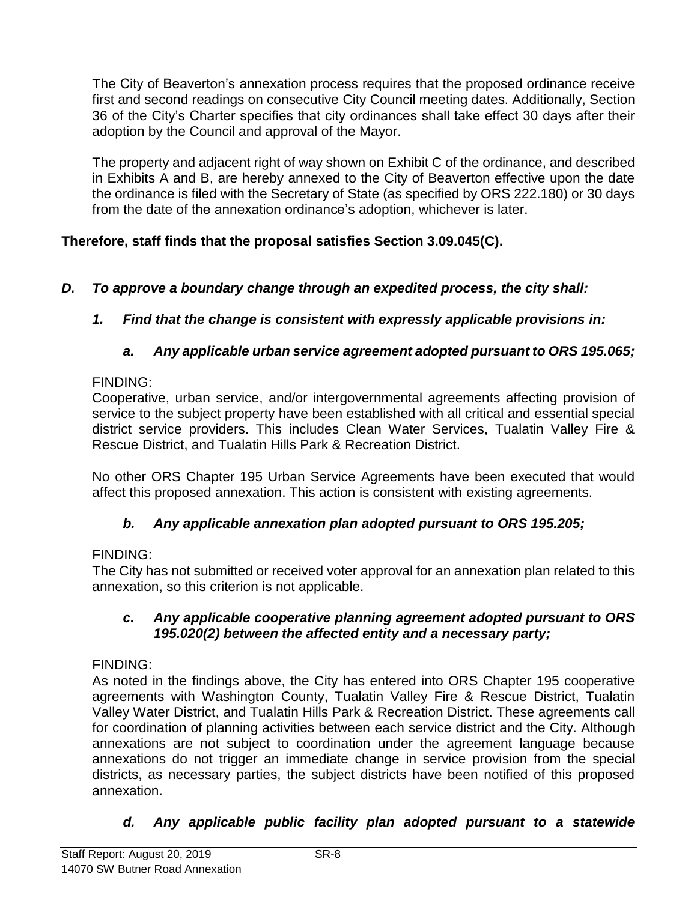The City of Beaverton's annexation process requires that the proposed ordinance receive first and second readings on consecutive City Council meeting dates. Additionally, Section 36 of the City's Charter specifies that city ordinances shall take effect 30 days after their adoption by the Council and approval of the Mayor.

The property and adjacent right of way shown on Exhibit C of the ordinance, and described in Exhibits A and B, are hereby annexed to the City of Beaverton effective upon the date the ordinance is filed with the Secretary of State (as specified by ORS 222.180) or 30 days from the date of the annexation ordinance's adoption, whichever is later.

# **Therefore, staff finds that the proposal satisfies Section 3.09.045(C).**

- *D. To approve a boundary change through an expedited process, the city shall:*
	- *1. Find that the change is consistent with expressly applicable provisions in:*

# *a. Any applicable urban service agreement adopted pursuant to ORS 195.065;*

### FINDING:

Cooperative, urban service, and/or intergovernmental agreements affecting provision of service to the subject property have been established with all critical and essential special district service providers. This includes Clean Water Services, Tualatin Valley Fire & Rescue District, and Tualatin Hills Park & Recreation District.

No other ORS Chapter 195 Urban Service Agreements have been executed that would affect this proposed annexation. This action is consistent with existing agreements.

## *b. Any applicable annexation plan adopted pursuant to ORS 195.205;*

## FINDING:

The City has not submitted or received voter approval for an annexation plan related to this annexation, so this criterion is not applicable.

#### *c. Any applicable cooperative planning agreement adopted pursuant to ORS 195.020(2) between the affected entity and a necessary party;*

## FINDING:

As noted in the findings above, the City has entered into ORS Chapter 195 cooperative agreements with Washington County, Tualatin Valley Fire & Rescue District, Tualatin Valley Water District, and Tualatin Hills Park & Recreation District. These agreements call for coordination of planning activities between each service district and the City. Although annexations are not subject to coordination under the agreement language because annexations do not trigger an immediate change in service provision from the special districts, as necessary parties, the subject districts have been notified of this proposed annexation.

## *d. Any applicable public facility plan adopted pursuant to a statewide*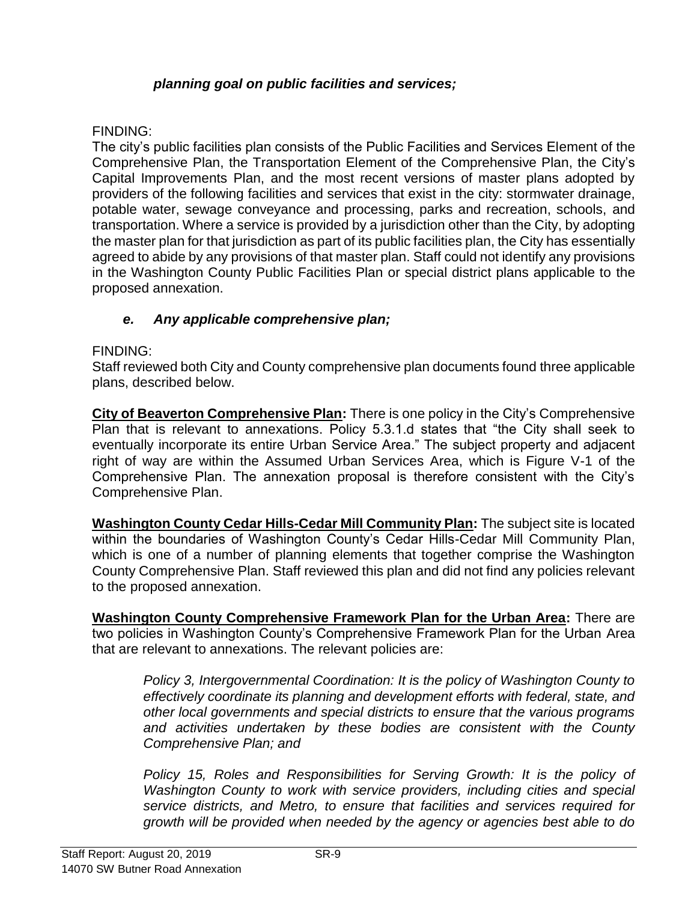### *planning goal on public facilities and services;*

#### FINDING:

The city's public facilities plan consists of the Public Facilities and Services Element of the Comprehensive Plan, the Transportation Element of the Comprehensive Plan, the City's Capital Improvements Plan, and the most recent versions of master plans adopted by providers of the following facilities and services that exist in the city: stormwater drainage, potable water, sewage conveyance and processing, parks and recreation, schools, and transportation. Where a service is provided by a jurisdiction other than the City, by adopting the master plan for that jurisdiction as part of its public facilities plan, the City has essentially agreed to abide by any provisions of that master plan. Staff could not identify any provisions in the Washington County Public Facilities Plan or special district plans applicable to the proposed annexation.

### *e. Any applicable comprehensive plan;*

#### FINDING:

Staff reviewed both City and County comprehensive plan documents found three applicable plans, described below.

**City of Beaverton Comprehensive Plan:** There is one policy in the City's Comprehensive Plan that is relevant to annexations. Policy 5.3.1.d states that "the City shall seek to eventually incorporate its entire Urban Service Area." The subject property and adjacent right of way are within the Assumed Urban Services Area, which is Figure V-1 of the Comprehensive Plan. The annexation proposal is therefore consistent with the City's Comprehensive Plan.

**Washington County Cedar Hills-Cedar Mill Community Plan:** The subject site is located within the boundaries of Washington County's Cedar Hills-Cedar Mill Community Plan, which is one of a number of planning elements that together comprise the Washington County Comprehensive Plan. Staff reviewed this plan and did not find any policies relevant to the proposed annexation.

**Washington County Comprehensive Framework Plan for the Urban Area:** There are two policies in Washington County's Comprehensive Framework Plan for the Urban Area that are relevant to annexations. The relevant policies are:

*Policy 3, Intergovernmental Coordination: It is the policy of Washington County to effectively coordinate its planning and development efforts with federal, state, and other local governments and special districts to ensure that the various programs and activities undertaken by these bodies are consistent with the County Comprehensive Plan; and*

*Policy 15, Roles and Responsibilities for Serving Growth: It is the policy of Washington County to work with service providers, including cities and special service districts, and Metro, to ensure that facilities and services required for growth will be provided when needed by the agency or agencies best able to do*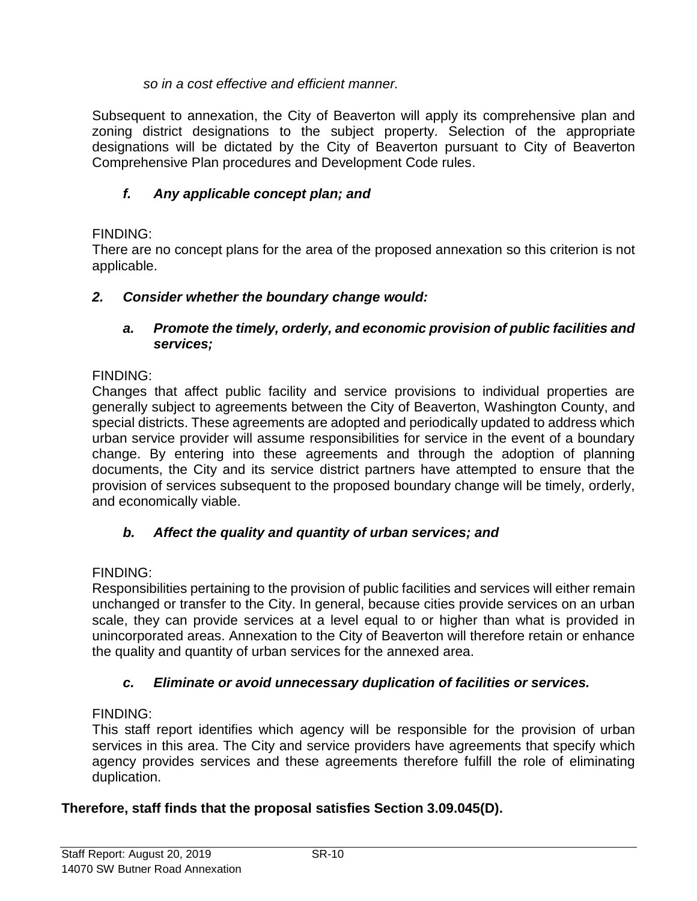### *so in a cost effective and efficient manner.*

Subsequent to annexation, the City of Beaverton will apply its comprehensive plan and zoning district designations to the subject property. Selection of the appropriate designations will be dictated by the City of Beaverton pursuant to City of Beaverton Comprehensive Plan procedures and Development Code rules.

# *f. Any applicable concept plan; and*

### FINDING:

There are no concept plans for the area of the proposed annexation so this criterion is not applicable.

### *2. Consider whether the boundary change would:*

#### *a. Promote the timely, orderly, and economic provision of public facilities and services;*

### FINDING:

Changes that affect public facility and service provisions to individual properties are generally subject to agreements between the City of Beaverton, Washington County, and special districts. These agreements are adopted and periodically updated to address which urban service provider will assume responsibilities for service in the event of a boundary change. By entering into these agreements and through the adoption of planning documents, the City and its service district partners have attempted to ensure that the provision of services subsequent to the proposed boundary change will be timely, orderly, and economically viable.

## *b. Affect the quality and quantity of urban services; and*

#### FINDING:

Responsibilities pertaining to the provision of public facilities and services will either remain unchanged or transfer to the City. In general, because cities provide services on an urban scale, they can provide services at a level equal to or higher than what is provided in unincorporated areas. Annexation to the City of Beaverton will therefore retain or enhance the quality and quantity of urban services for the annexed area.

## *c. Eliminate or avoid unnecessary duplication of facilities or services.*

#### FINDING:

This staff report identifies which agency will be responsible for the provision of urban services in this area. The City and service providers have agreements that specify which agency provides services and these agreements therefore fulfill the role of eliminating duplication.

## **Therefore, staff finds that the proposal satisfies Section 3.09.045(D).**